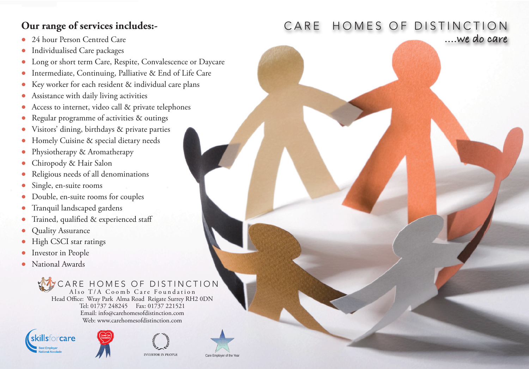## **Our range of services includes:-**

- 24 hour Person Centred Care **....we do care**
- Individualised Care packages
- Long or short term Care, Respite, Convalescence or Daycare
- Intermediate, Continuing, Palliative & End of Life Care
- Key worker for each resident & individual care plans
- Assistance with daily living activities
- Access to internet, video call & private telephones
- Regular programme of activities & outings
- Visitors' dining, birthdays & private parties
- Homely Cuisine & special dietary needs
- Physiotherapy & Aromatherapy
- Chiropody & Hair Salon
- Religious needs of all denominations
- Single, en-suite rooms
- Double, en-suite rooms for couples
- Tranquil landscaped gardens
- Trained, qualified & experienced staff
- Quality Assurance
- High CSCI star ratings
- Investor in People
- National Awards

 CARE HOMES OF DISTINCTION Also T/A Coomb Care Foundation Head Office: Wray Park Alma Road Reigate Surrey RH2 0DN Tel: 01737 248245 Fax: 01737 221521 Email: info@carehomesofdistinction.com Web: www.carehomesofdistinction.com





**INVESTOR IN PEOPL** 

Care Employer of the Ye